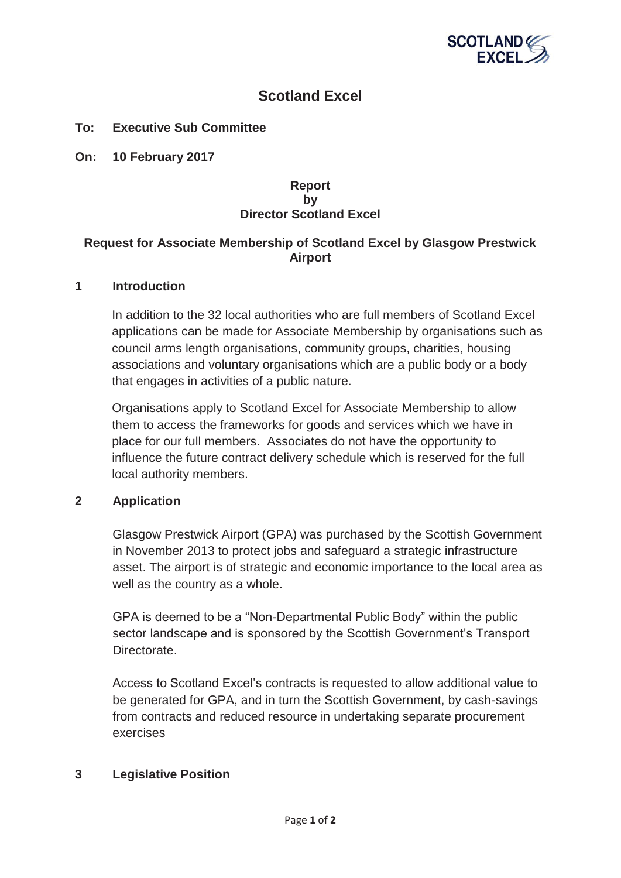

# **Scotland Excel**

## **To: Executive Sub Committee**

**On: 10 February 2017** 

## **Report by Director Scotland Excel**

## **Request for Associate Membership of Scotland Excel by Glasgow Prestwick Airport**

#### **1 Introduction**

In addition to the 32 local authorities who are full members of Scotland Excel applications can be made for Associate Membership by organisations such as council arms length organisations, community groups, charities, housing associations and voluntary organisations which are a public body or a body that engages in activities of a public nature.

Organisations apply to Scotland Excel for Associate Membership to allow them to access the frameworks for goods and services which we have in place for our full members. Associates do not have the opportunity to influence the future contract delivery schedule which is reserved for the full local authority members.

## **2 Application**

Glasgow Prestwick Airport (GPA) was purchased by the Scottish Government in November 2013 to protect jobs and safeguard a strategic infrastructure asset. The airport is of strategic and economic importance to the local area as well as the country as a whole.

GPA is deemed to be a "Non-Departmental Public Body" within the public sector landscape and is sponsored by the Scottish Government's Transport Directorate.

Access to Scotland Excel's contracts is requested to allow additional value to be generated for GPA, and in turn the Scottish Government, by cash-savings from contracts and reduced resource in undertaking separate procurement exercises

## **3 Legislative Position**